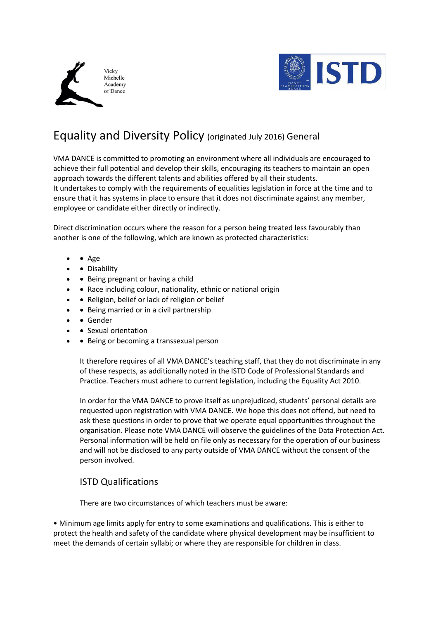



# Equality and Diversity Policy (originated July 2016) General

VMA DANCE is committed to promoting an environment where all individuals are encouraged to achieve their full potential and develop their skills, encouraging its teachers to maintain an open approach towards the different talents and abilities offered by all their students. It undertakes to comply with the requirements of equalities legislation in force at the time and to ensure that it has systems in place to ensure that it does not discriminate against any member, employee or candidate either directly or indirectly.

Direct discrimination occurs where the reason for a person being treated less favourably than another is one of the following, which are known as protected characteristics:

- • Age
- Disability
- Being pregnant or having a child
- • Race including colour, nationality, ethnic or national origin
- Religion, belief or lack of religion or belief
- • Being married or in a civil partnership
- Gender
- Sexual orientation
- • Being or becoming a transsexual person

It therefore requires of all VMA DANCE's teaching staff, that they do not discriminate in any of these respects, as additionally noted in the ISTD Code of Professional Standards and Practice. Teachers must adhere to current legislation, including the Equality Act 2010.

In order for the VMA DANCE to prove itself as unprejudiced, students' personal details are requested upon registration with VMA DANCE. We hope this does not offend, but need to ask these questions in order to prove that we operate equal opportunities throughout the organisation. Please note VMA DANCE will observe the guidelines of the Data Protection Act. Personal information will be held on file only as necessary for the operation of our business and will not be disclosed to any party outside of VMA DANCE without the consent of the person involved.

## ISTD Qualifications

There are two circumstances of which teachers must be aware:

• Minimum age limits apply for entry to some examinations and qualifications. This is either to protect the health and safety of the candidate where physical development may be insufficient to meet the demands of certain syllabi; or where they are responsible for children in class.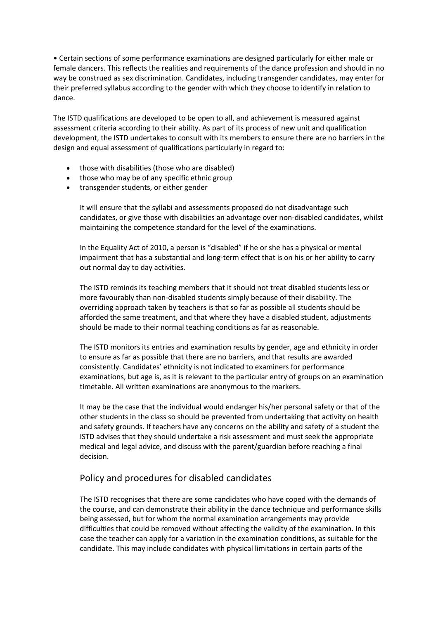• Certain sections of some performance examinations are designed particularly for either male or female dancers. This reflects the realities and requirements of the dance profession and should in no way be construed as sex discrimination. Candidates, including transgender candidates, may enter for their preferred syllabus according to the gender with which they choose to identify in relation to dance.

The ISTD qualifications are developed to be open to all, and achievement is measured against assessment criteria according to their ability. As part of its process of new unit and qualification development, the ISTD undertakes to consult with its members to ensure there are no barriers in the design and equal assessment of qualifications particularly in regard to:

- those with disabilities (those who are disabled)
- those who may be of any specific ethnic group
- transgender students, or either gender

It will ensure that the syllabi and assessments proposed do not disadvantage such candidates, or give those with disabilities an advantage over non-disabled candidates, whilst maintaining the competence standard for the level of the examinations.

In the Equality Act of 2010, a person is "disabled" if he or she has a physical or mental impairment that has a substantial and long-term effect that is on his or her ability to carry out normal day to day activities.

The ISTD reminds its teaching members that it should not treat disabled students less or more favourably than non-disabled students simply because of their disability. The overriding approach taken by teachers is that so far as possible all students should be afforded the same treatment, and that where they have a disabled student, adjustments should be made to their normal teaching conditions as far as reasonable.

The ISTD monitors its entries and examination results by gender, age and ethnicity in order to ensure as far as possible that there are no barriers, and that results are awarded consistently. Candidates' ethnicity is not indicated to examiners for performance examinations, but age is, as it is relevant to the particular entry of groups on an examination timetable. All written examinations are anonymous to the markers.

It may be the case that the individual would endanger his/her personal safety or that of the other students in the class so should be prevented from undertaking that activity on health and safety grounds. If teachers have any concerns on the ability and safety of a student the ISTD advises that they should undertake a risk assessment and must seek the appropriate medical and legal advice, and discuss with the parent/guardian before reaching a final decision.

## Policy and procedures for disabled candidates

The ISTD recognises that there are some candidates who have coped with the demands of the course, and can demonstrate their ability in the dance technique and performance skills being assessed, but for whom the normal examination arrangements may provide difficulties that could be removed without affecting the validity of the examination. In this case the teacher can apply for a variation in the examination conditions, as suitable for the candidate. This may include candidates with physical limitations in certain parts of the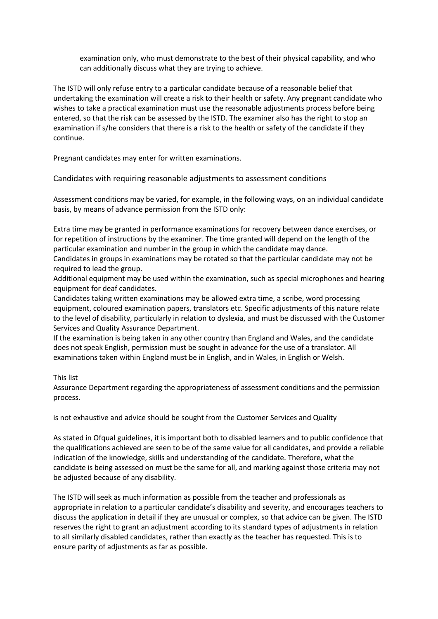examination only, who must demonstrate to the best of their physical capability, and who can additionally discuss what they are trying to achieve.

The ISTD will only refuse entry to a particular candidate because of a reasonable belief that undertaking the examination will create a risk to their health or safety. Any pregnant candidate who wishes to take a practical examination must use the reasonable adjustments process before being entered, so that the risk can be assessed by the ISTD. The examiner also has the right to stop an examination if s/he considers that there is a risk to the health or safety of the candidate if they continue.

Pregnant candidates may enter for written examinations.

Candidates with requiring reasonable adjustments to assessment conditions

Assessment conditions may be varied, for example, in the following ways, on an individual candidate basis, by means of advance permission from the ISTD only:

Extra time may be granted in performance examinations for recovery between dance exercises, or for repetition of instructions by the examiner. The time granted will depend on the length of the particular examination and number in the group in which the candidate may dance.

Candidates in groups in examinations may be rotated so that the particular candidate may not be required to lead the group.

Additional equipment may be used within the examination, such as special microphones and hearing equipment for deaf candidates.

Candidates taking written examinations may be allowed extra time, a scribe, word processing equipment, coloured examination papers, translators etc. Specific adjustments of this nature relate to the level of disability, particularly in relation to dyslexia, and must be discussed with the Customer Services and Quality Assurance Department.

If the examination is being taken in any other country than England and Wales, and the candidate does not speak English, permission must be sought in advance for the use of a translator. All examinations taken within England must be in English, and in Wales, in English or Welsh.

This list

Assurance Department regarding the appropriateness of assessment conditions and the permission process.

is not exhaustive and advice should be sought from the Customer Services and Quality

As stated in Ofqual guidelines, it is important both to disabled learners and to public confidence that the qualifications achieved are seen to be of the same value for all candidates, and provide a reliable indication of the knowledge, skills and understanding of the candidate. Therefore, what the candidate is being assessed on must be the same for all, and marking against those criteria may not be adjusted because of any disability.

The ISTD will seek as much information as possible from the teacher and professionals as appropriate in relation to a particular candidate's disability and severity, and encourages teachers to discuss the application in detail if they are unusual or complex, so that advice can be given. The ISTD reserves the right to grant an adjustment according to its standard types of adjustments in relation to all similarly disabled candidates, rather than exactly as the teacher has requested. This is to ensure parity of adjustments as far as possible.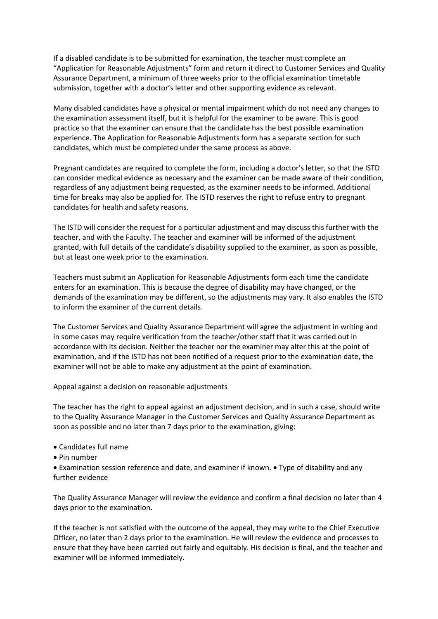If a disabled candidate is to be submitted for examination, the teacher must complete an "Application for Reasonable Adjustments" form and return it direct to Customer Services and Quality Assurance Department, a minimum of three weeks prior to the official examination timetable submission, together with a doctor's letter and other supporting evidence as relevant.

Many disabled candidates have a physical or mental impairment which do not need any changes to the examination assessment itself, but it is helpful for the examiner to be aware. This is good practice so that the examiner can ensure that the candidate has the best possible examination experience. The Application for Reasonable Adjustments form has a separate section for such candidates, which must be completed under the same process as above.

Pregnant candidates are required to complete the form, including a doctor's letter, so that the ISTD can consider medical evidence as necessary and the examiner can be made aware of their condition, regardless of any adjustment being requested, as the examiner needs to be informed. Additional time for breaks may also be applied for. The ISTD reserves the right to refuse entry to pregnant candidates for health and safety reasons.

The ISTD will consider the request for a particular adjustment and may discuss this further with the teacher, and with the Faculty. The teacher and examiner will be informed of the adjustment granted, with full details of the candidate's disability supplied to the examiner, as soon as possible, but at least one week prior to the examination.

Teachers must submit an Application for Reasonable Adjustments form each time the candidate enters for an examination. This is because the degree of disability may have changed, or the demands of the examination may be different, so the adjustments may vary. It also enables the ISTD to inform the examiner of the current details.

The Customer Services and Quality Assurance Department will agree the adjustment in writing and in some cases may require verification from the teacher/other staff that it was carried out in accordance with its decision. Neither the teacher nor the examiner may alter this at the point of examination, and if the ISTD has not been notified of a request prior to the examination date, the examiner will not be able to make any adjustment at the point of examination.

Appeal against a decision on reasonable adjustments

The teacher has the right to appeal against an adjustment decision, and in such a case, should write to the Quality Assurance Manager in the Customer Services and Quality Assurance Department as soon as possible and no later than 7 days prior to the examination, giving:

- Candidates full name
- Pin number

• Examination session reference and date, and examiner if known. • Type of disability and any further evidence

The Quality Assurance Manager will review the evidence and confirm a final decision no later than 4 days prior to the examination.

If the teacher is not satisfied with the outcome of the appeal, they may write to the Chief Executive Officer, no later than 2 days prior to the examination. He will review the evidence and processes to ensure that they have been carried out fairly and equitably. His decision is final, and the teacher and examiner will be informed immediately.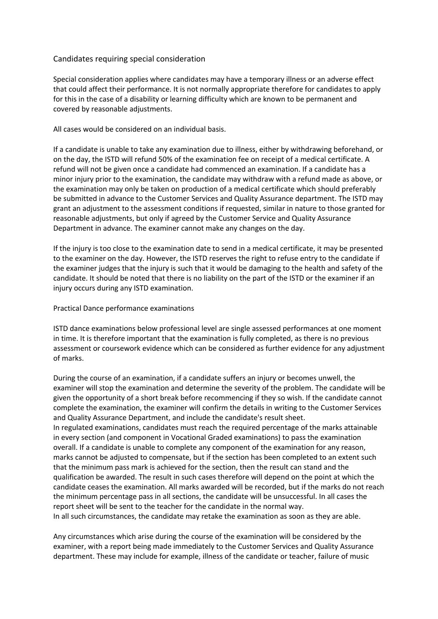### Candidates requiring special consideration

Special consideration applies where candidates may have a temporary illness or an adverse effect that could affect their performance. It is not normally appropriate therefore for candidates to apply for this in the case of a disability or learning difficulty which are known to be permanent and covered by reasonable adjustments.

All cases would be considered on an individual basis.

If a candidate is unable to take any examination due to illness, either by withdrawing beforehand, or on the day, the ISTD will refund 50% of the examination fee on receipt of a medical certificate. A refund will not be given once a candidate had commenced an examination. If a candidate has a minor injury prior to the examination, the candidate may withdraw with a refund made as above, or the examination may only be taken on production of a medical certificate which should preferably be submitted in advance to the Customer Services and Quality Assurance department. The ISTD may grant an adjustment to the assessment conditions if requested, similar in nature to those granted for reasonable adjustments, but only if agreed by the Customer Service and Quality Assurance Department in advance. The examiner cannot make any changes on the day.

If the injury is too close to the examination date to send in a medical certificate, it may be presented to the examiner on the day. However, the ISTD reserves the right to refuse entry to the candidate if the examiner judges that the injury is such that it would be damaging to the health and safety of the candidate. It should be noted that there is no liability on the part of the ISTD or the examiner if an injury occurs during any ISTD examination.

Practical Dance performance examinations

ISTD dance examinations below professional level are single assessed performances at one moment in time. It is therefore important that the examination is fully completed, as there is no previous assessment or coursework evidence which can be considered as further evidence for any adjustment of marks.

During the course of an examination, if a candidate suffers an injury or becomes unwell, the examiner will stop the examination and determine the severity of the problem. The candidate will be given the opportunity of a short break before recommencing if they so wish. If the candidate cannot complete the examination, the examiner will confirm the details in writing to the Customer Services and Quality Assurance Department, and include the candidate's result sheet. In regulated examinations, candidates must reach the required percentage of the marks attainable in every section (and component in Vocational Graded examinations) to pass the examination overall. If a candidate is unable to complete any component of the examination for any reason, marks cannot be adjusted to compensate, but if the section has been completed to an extent such that the minimum pass mark is achieved for the section, then the result can stand and the qualification be awarded. The result in such cases therefore will depend on the point at which the candidate ceases the examination. All marks awarded will be recorded, but if the marks do not reach the minimum percentage pass in all sections, the candidate will be unsuccessful. In all cases the report sheet will be sent to the teacher for the candidate in the normal way. In all such circumstances, the candidate may retake the examination as soon as they are able.

Any circumstances which arise during the course of the examination will be considered by the examiner, with a report being made immediately to the Customer Services and Quality Assurance department. These may include for example, illness of the candidate or teacher, failure of music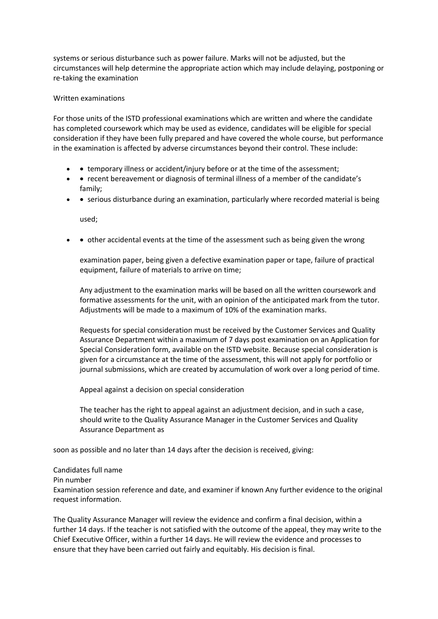systems or serious disturbance such as power failure. Marks will not be adjusted, but the circumstances will help determine the appropriate action which may include delaying, postponing or re-taking the examination

#### Written examinations

For those units of the ISTD professional examinations which are written and where the candidate has completed coursework which may be used as evidence, candidates will be eligible for special consideration if they have been fully prepared and have covered the whole course, but performance in the examination is affected by adverse circumstances beyond their control. These include:

- • temporary illness or accident/injury before or at the time of the assessment;
- • recent bereavement or diagnosis of terminal illness of a member of the candidate's family;
- • serious disturbance during an examination, particularly where recorded material is being

used;

• • other accidental events at the time of the assessment such as being given the wrong

examination paper, being given a defective examination paper or tape, failure of practical equipment, failure of materials to arrive on time;

Any adjustment to the examination marks will be based on all the written coursework and formative assessments for the unit, with an opinion of the anticipated mark from the tutor. Adjustments will be made to a maximum of 10% of the examination marks.

Requests for special consideration must be received by the Customer Services and Quality Assurance Department within a maximum of 7 days post examination on an Application for Special Consideration form, available on the ISTD website. Because special consideration is given for a circumstance at the time of the assessment, this will not apply for portfolio or journal submissions, which are created by accumulation of work over a long period of time.

Appeal against a decision on special consideration

The teacher has the right to appeal against an adjustment decision, and in such a case, should write to the Quality Assurance Manager in the Customer Services and Quality Assurance Department as

soon as possible and no later than 14 days after the decision is received, giving:

## Candidates full name Pin number Examination session reference and date, and examiner if known Any further evidence to the original request information.

The Quality Assurance Manager will review the evidence and confirm a final decision, within a further 14 days. If the teacher is not satisfied with the outcome of the appeal, they may write to the Chief Executive Officer, within a further 14 days. He will review the evidence and processes to ensure that they have been carried out fairly and equitably. His decision is final.